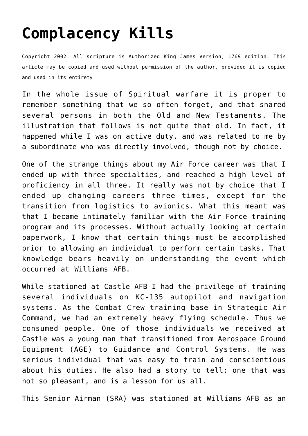## **[Complacency Kills](http://reproachofmen.org/spiritualwar/complacency-kills/)**

Copyright 2002. All scripture is Authorized King James Version, 1769 edition. This article may be copied and used without permission of the author, provided it is copied and used in its entirety

In the whole issue of Spiritual warfare it is proper to remember something that we so often forget, and that snared several persons in both the Old and New Testaments. The illustration that follows is not quite that old. In fact, it happened while I was on active duty, and was related to me by a subordinate who was directly involved, though not by choice.

One of the strange things about my Air Force career was that I ended up with three specialties, and reached a high level of proficiency in all three. It really was not by choice that I ended up changing careers three times, except for the transition from logistics to avionics. What this meant was that I became intimately familiar with the Air Force training program and its processes. Without actually looking at certain paperwork, I know that certain things must be accomplished prior to allowing an individual to perform certain tasks. That knowledge bears heavily on understanding the event which occurred at Williams AFB.

While stationed at Castle AFB I had the privilege of training several individuals on KC-135 autopilot and navigation systems. As the Combat Crew training base in Strategic Air Command, we had an extremely heavy flying schedule. Thus we consumed people. One of those individuals we received at Castle was a young man that transitioned from Aerospace Ground Equipment (AGE) to Guidance and Control Systems. He was serious individual that was easy to train and conscientious about his duties. He also had a story to tell; one that was not so pleasant, and is a lesson for us all.

This Senior Airman (SRA) was stationed at Williams AFB as an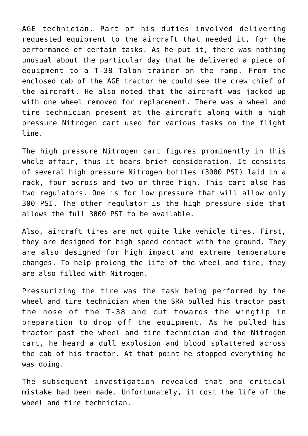AGE technician. Part of his duties involved delivering requested equipment to the aircraft that needed it, for the performance of certain tasks. As he put it, there was nothing unusual about the particular day that he delivered a piece of equipment to a T-38 Talon trainer on the ramp. From the enclosed cab of the AGE tractor he could see the crew chief of the aircraft. He also noted that the aircraft was jacked up with one wheel removed for replacement. There was a wheel and tire technician present at the aircraft along with a high pressure Nitrogen cart used for various tasks on the flight line.

The high pressure Nitrogen cart figures prominently in this whole affair, thus it bears brief consideration. It consists of several high pressure Nitrogen bottles (3000 PSI) laid in a rack, four across and two or three high. This cart also has two regulators. One is for low pressure that will allow only 300 PSI. The other regulator is the high pressure side that allows the full 3000 PSI to be available.

Also, aircraft tires are not quite like vehicle tires. First, they are designed for high speed contact with the ground. They are also designed for high impact and extreme temperature changes. To help prolong the life of the wheel and tire, they are also filled with Nitrogen.

Pressurizing the tire was the task being performed by the wheel and tire technician when the SRA pulled his tractor past the nose of the T-38 and cut towards the wingtip in preparation to drop off the equipment. As he pulled his tractor past the wheel and tire technician and the Nitrogen cart, he heard a dull explosion and blood splattered across the cab of his tractor. At that point he stopped everything he was doing.

The subsequent investigation revealed that one critical mistake had been made. Unfortunately, it cost the life of the wheel and tire technician.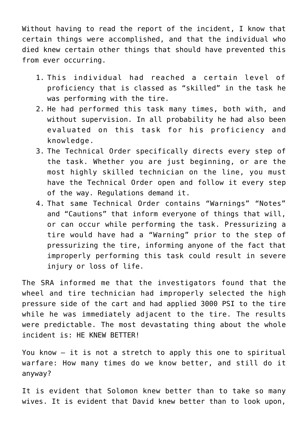Without having to read the report of the incident, I know that certain things were accomplished, and that the individual who died knew certain other things that should have prevented this from ever occurring.

- 1. This individual had reached a certain level of proficiency that is classed as "skilled" in the task he was performing with the tire.
- 2. He had performed this task many times, both with, and without supervision. In all probability he had also been evaluated on this task for his proficiency and knowledge.
- 3. The Technical Order specifically directs every step of the task. Whether you are just beginning, or are the most highly skilled technician on the line, you must have the Technical Order open and follow it every step of the way. Regulations demand it.
- 4. That same Technical Order contains "Warnings" "Notes" and "Cautions" that inform everyone of things that will, or can occur while performing the task. Pressurizing a tire would have had a "Warning" prior to the step of pressurizing the tire, informing anyone of the fact that improperly performing this task could result in severe injury or loss of life.

The SRA informed me that the investigators found that the wheel and tire technician had improperly selected the high pressure side of the cart and had applied 3000 PSI to the tire while he was immediately adjacent to the tire. The results were predictable. The most devastating thing about the whole incident is: HE KNEW BETTER!

You know — it is not a stretch to apply this one to spiritual warfare: How many times do we know better, and still do it anyway?

It is evident that Solomon knew better than to take so many wives. It is evident that David knew better than to look upon,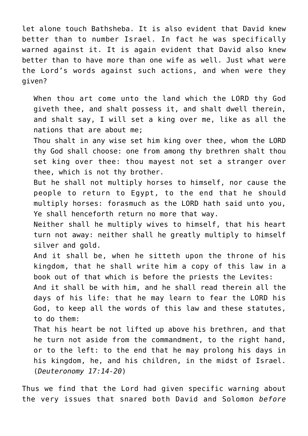let alone touch Bathsheba. It is also evident that David knew better than to number Israel. In fact he was specifically warned against it. It is again evident that David also knew better than to have more than one wife as well. Just what were the Lord's words against such actions, and when were they given?

When thou art come unto the land which the LORD thy God giveth thee, and shalt possess it, and shalt dwell therein, and shalt say, I will set a king over me, like as all the nations that are about me;

Thou shalt in any wise set him king over thee, whom the LORD thy God shall choose: one from among thy brethren shalt thou set king over thee: thou mayest not set a stranger over thee, which is not thy brother.

But he shall not multiply horses to himself, nor cause the people to return to Egypt, to the end that he should multiply horses: forasmuch as the LORD hath said unto you, Ye shall henceforth return no more that way.

Neither shall he multiply wives to himself, that his heart turn not away: neither shall he greatly multiply to himself silver and gold.

And it shall be, when he sitteth upon the throne of his kingdom, that he shall write him a copy of this law in a book out of that which is before the priests the Levites:

And it shall be with him, and he shall read therein all the days of his life: that he may learn to fear the LORD his God, to keep all the words of this law and these statutes, to do them:

That his heart be not lifted up above his brethren, and that he turn not aside from the commandment, to the right hand, or to the left: to the end that he may prolong his days in his kingdom, he, and his children, in the midst of Israel. (*Deuteronomy 17:14-20*)

Thus we find that the Lord had given specific warning about the very issues that snared both David and Solomon *before*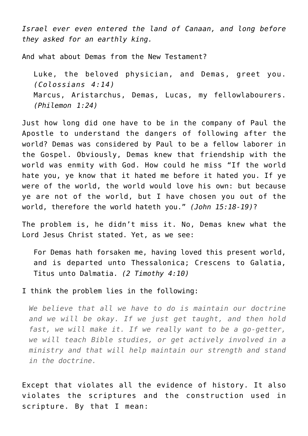*Israel ever even entered the land of Canaan, and long before they asked for an earthly king.*

And what about Demas from the New Testament?

Luke, the beloved physician, and Demas, greet you. *(Colossians 4:14)* Marcus, Aristarchus, Demas, Lucas, my fellowlabourers. *(Philemon 1:24)*

Just how long did one have to be in the company of Paul the Apostle to understand the dangers of following after the world? Demas was considered by Paul to be a fellow laborer in the Gospel. Obviously, Demas knew that friendship with the world was enmity with God. How could he miss "If the world hate you, ye know that it hated me before it hated you. If ye were of the world, the world would love his own: but because ye are not of the world, but I have chosen you out of the world, therefore the world hateth you." *(John 15:18-19)*?

The problem is, he didn't miss it. No, Demas knew what the Lord Jesus Christ stated. Yet, as we see:

For Demas hath forsaken me, having loved this present world, and is departed unto Thessalonica; Crescens to Galatia, Titus unto Dalmatia. *(2 Timothy 4:10)*

## I think the problem lies in the following:

*We believe that all we have to do is maintain our doctrine and we will be okay. If we just get taught, and then hold fast, we will make it. If we really want to be a go-getter, we will teach Bible studies, or get actively involved in a ministry and that will help maintain our strength and stand in the doctrine.*

Except that violates all the evidence of history. It also violates the scriptures and the construction used in scripture. By that I mean: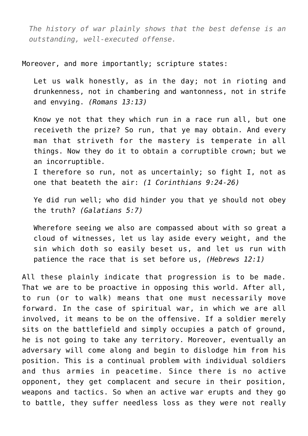*The history of war plainly shows that the best defense is an outstanding, well-executed offense.*

Moreover, and more importantly; scripture states:

Let us walk honestly, as in the day; not in rioting and drunkenness, not in chambering and wantonness, not in strife and envying. *(Romans 13:13)*

Know ye not that they which run in a race run all, but one receiveth the prize? So run, that ye may obtain. And every man that striveth for the mastery is temperate in all things. Now they do it to obtain a corruptible crown; but we an incorruptible.

I therefore so run, not as uncertainly; so fight I, not as one that beateth the air: *(1 Corinthians 9:24-26)*

Ye did run well; who did hinder you that ye should not obey the truth? *(Galatians 5:7)*

Wherefore seeing we also are compassed about with so great a cloud of witnesses, let us lay aside every weight, and the sin which doth so easily beset us, and let us run with patience the race that is set before us, *(Hebrews 12:1)*

All these plainly indicate that progression is to be made. That we are to be proactive in opposing this world. After all, to run (or to walk) means that one must necessarily move forward. In the case of spiritual war, in which we are all involved, it means to be on the offensive. If a soldier merely sits on the battlefield and simply occupies a patch of ground, he is not going to take any territory. Moreover, eventually an adversary will come along and begin to dislodge him from his position. This is a continual problem with individual soldiers and thus armies in peacetime. Since there is no active opponent, they get complacent and secure in their position, weapons and tactics. So when an active war erupts and they go to battle, they suffer needless loss as they were not really